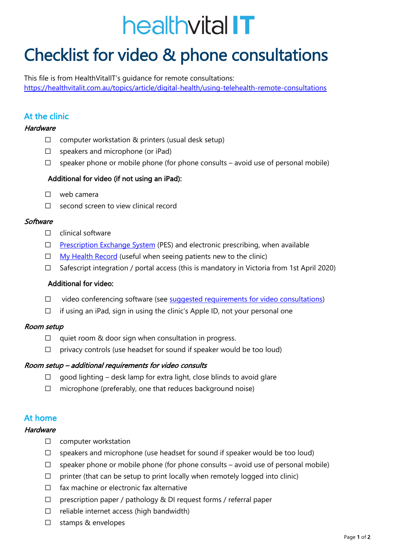# healthvital IT

# Checklist for video & phone consultations

This file is from HealthVitalIT's guidance for remote consultations: https://healthvitalit.com.au/topics/article/digital-health/using-telehealth-remote-consultations

# At the clinic

# **Hardware**

- $\Box$  computer workstation & printers (usual desk setup)
- $\square$  speakers and microphone (or iPad)
- $\Box$  speaker phone or mobile phone (for phone consults avoid use of personal mobile)

# Additional for video (if not using an iPad):

- ⃣ web camera
- ⃣ second screen to view clinical record

# **Software**

- $\Box$  clinical software
- $\Box$  Prescription Exchange System (PES) and electronic prescribing, when available
- $\Box$  My Health Record (useful when seeing patients new to the clinic)
- ⃣ Safescript integration / portal access (this is mandatory in Victoria from 1st April 2020)

# Additional for video:

- □ video conferencing software (see suggested requirements for video consultations)
- $\Box$  if using an iPad, sign in using the clinic's Apple ID, not your personal one

# Room setup

- $\Box$  quiet room & door sign when consultation in progress.
- $\Box$  privacy controls (use headset for sound if speaker would be too loud)

# Room setup – additional requirements for video consults

- $\Box$  good lighting desk lamp for extra light, close blinds to avoid glare
- $\Box$  microphone (preferably, one that reduces background noise)

# At home

# Hardware

- □ computer workstation
- $\Box$  speakers and microphone (use headset for sound if speaker would be too loud)
- $\Box$  speaker phone or mobile phone (for phone consults avoid use of personal mobile)
- $\Box$  printer (that can be setup to print locally when remotely logged into clinic)
- $\Box$  fax machine or electronic fax alternative
- $\Box$  prescription paper / pathology & DI request forms / referral paper
- $\Box$  reliable internet access (high bandwidth)
- □ stamps & envelopes